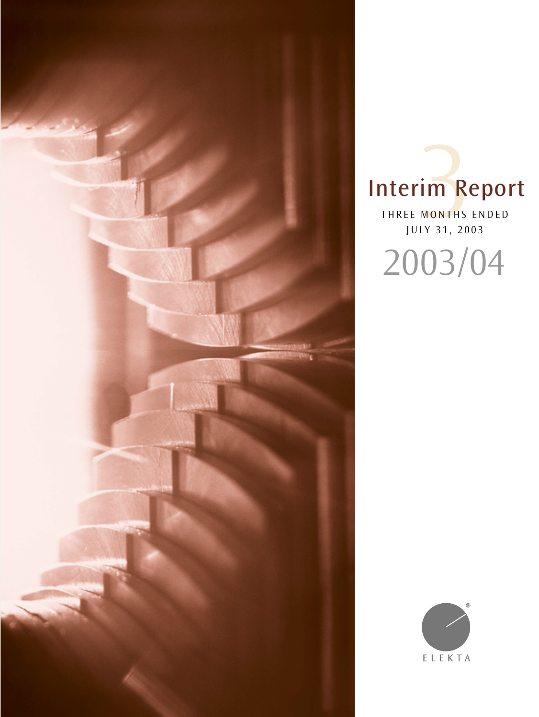

# Interim Report IM R

THREE MONTHS ENDED JULY 31, 2003 2003/04

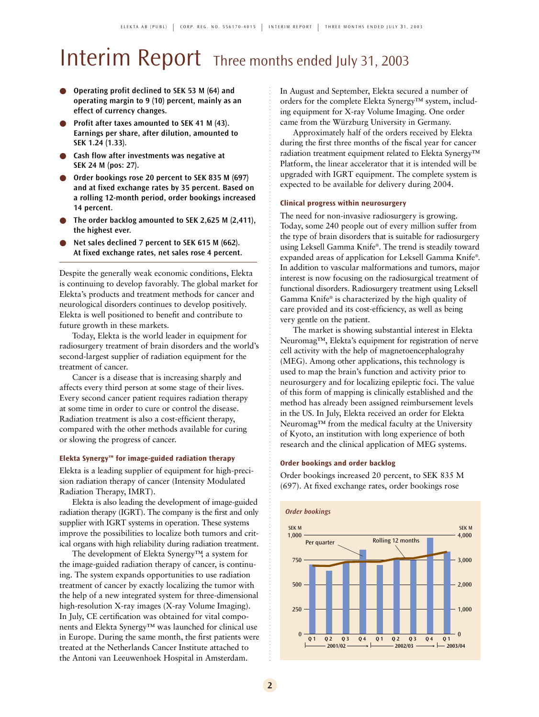# Interim Report Three months ended July 31, 2003

- **Operating profit declined to SEK 53 M (64) and operating margin to 9 (10) percent, mainly as an effect of currency changes.**
- **Profit after taxes amounted to SEK 41 M (43). Earnings per share, after dilution, amounted to SEK 1.24 (1.33).**
- Cash flow after investments was negative at **SEK 24 M (pos: 27).**
- Order bookings rose 20 percent to SEK 835 M (697) **and at fixed exchange rates by 35 percent. Based on a rolling 12-month period, order bookings increased 14 percent.**
- The order backlog amounted to SEK 2,625 M (2,411), **the highest ever.**
- Net sales declined 7 percent to SEK 615 M (662). **At fixed exchange rates, net sales rose 4 percent.**

Despite the generally weak economic conditions, Elekta is continuing to develop favorably. The global market for Elekta's products and treatment methods for cancer and neurological disorders continues to develop positively. Elekta is well positioned to benefit and contribute to future growth in these markets.

Today, Elekta is the world leader in equipment for radiosurgery treatment of brain disorders and the world's second-largest supplier of radiation equipment for the treatment of cancer.

Cancer is a disease that is increasing sharply and affects every third person at some stage of their lives. Every second cancer patient requires radiation therapy at some time in order to cure or control the disease. Radiation treatment is also a cost-efficient therapy, compared with the other methods available for curing or slowing the progress of cancer.

#### **Elekta Synergy™ for image-guided radiation therapy**

Elekta is a leading supplier of equipment for high-precision radiation therapy of cancer (Intensity Modulated Radiation Therapy, IMRT).

Elekta is also leading the development of image-guided radiation therapy (IGRT). The company is the first and only supplier with IGRT systems in operation. These systems improve the possibilities to localize both tumors and critical organs with high reliability during radiation treatment.

The development of Elekta Synergy™, a system for the image-guided radiation therapy of cancer, is continuing. The system expands opportunities to use radiation treatment of cancer by exactly localizing the tumor with the help of a new integrated system for three-dimensional high-resolution X-ray images (X-ray Volume Imaging). In July, CE certification was obtained for vital components and Elekta Synergy™ was launched for clinical use in Europe. During the same month, the first patients were treated at the Netherlands Cancer Institute attached to the Antoni van Leeuwenhoek Hospital in Amsterdam.

In August and September, Elekta secured a number of orders for the complete Elekta Synergy™ system, including equipment for X-ray Volume Imaging. One order came from the Würzburg University in Germany.

Approximately half of the orders received by Elekta during the first three months of the fiscal year for cancer radiation treatment equipment related to Elekta Synergy™ Platform, the linear accelerator that it is intended will be upgraded with IGRT equipment. The complete system is expected to be available for delivery during 2004.

#### **Clinical progress within neurosurgery**

The need for non-invasive radiosurgery is growing. Today, some 240 people out of every million suffer from the type of brain disorders that is suitable for radiosurgery using Leksell Gamma Knife®. The trend is steadily toward expanded areas of application for Leksell Gamma Knife® . In addition to vascular malformations and tumors, major interest is now focusing on the radiosurgical treatment of functional disorders. Radiosurgery treatment using Leksell Gamma Knife® is characterized by the high quality of care provided and its cost-efficiency, as well as being very gentle on the patient.

The market is showing substantial interest in Elekta Neuromag™, Elekta's equipment for registration of nerve cell activity with the help of magnetoencephalograhy (MEG). Among other applications, this technology is used to map the brain's function and activity prior to neurosurgery and for localizing epileptic foci. The value of this form of mapping is clinically established and the method has already been assigned reimbursement levels in the US. In July, Elekta received an order for Elekta Neuromag™ from the medical faculty at the University of Kyoto, an institution with long experience of both research and the clinical application of MEG systems.

#### **Order bookings and order backlog**

Order bookings increased 20 percent, to SEK 835 M (697). At fixed exchange rates, order bookings rose

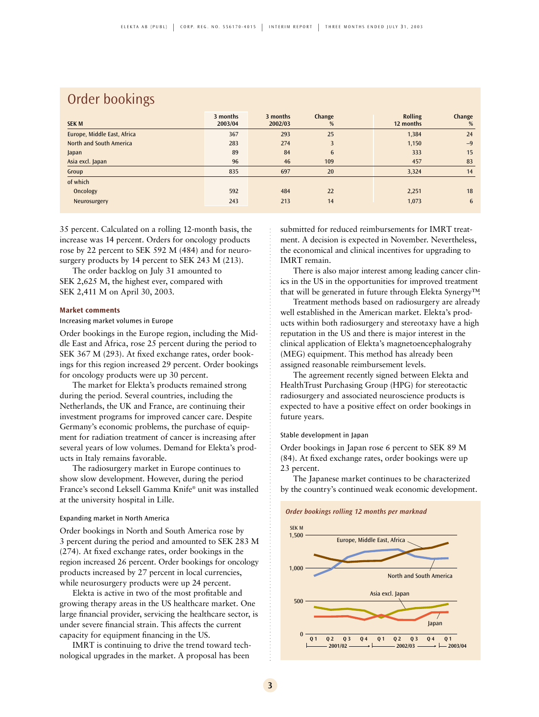## Order bookings

| <b>SEK M</b>                | 3 months<br>2003/04 | 3 months<br>2002/03 | Change<br>%     | <b>Rolling</b><br>12 months | Change<br>% |
|-----------------------------|---------------------|---------------------|-----------------|-----------------------------|-------------|
| Europe, Middle East, Africa | 367                 | 293                 | 25              | 1,384                       | 24          |
| North and South America     | 283                 | 274                 | 3               | 1,150                       | $-9$        |
| Japan                       | 89                  | 84                  | $6\phantom{.}6$ | 333                         | 15          |
| Asia excl. Japan            | 96                  | 46                  | 109             | 457                         | 83          |
| Group                       | 835                 | 697                 | 20              | 3,324                       | 14          |
| of which                    |                     |                     |                 |                             |             |
| Oncology                    | 592                 | 484                 | 22              | 2,251                       | 18          |
| Neurosurgery                | 243                 | 213                 | 14              | 1,073                       | 6           |

35 percent. Calculated on a rolling 12-month basis, the increase was 14 percent. Orders for oncology products rose by 22 percent to SEK 592 M (484) and for neurosurgery products by 14 percent to SEK 243 M (213).

The order backlog on July 31 amounted to SEK 2,625 M, the highest ever, compared with SEK 2,411 M on April 30, 2003.

#### **Market comments**

#### Increasing market volumes in Europe

Order bookings in the Europe region, including the Middle East and Africa, rose 25 percent during the period to SEK 367 M (293). At fixed exchange rates, order bookings for this region increased 29 percent. Order bookings for oncology products were up 30 percent.

The market for Elekta's products remained strong during the period. Several countries, including the Netherlands, the UK and France, are continuing their investment programs for improved cancer care. Despite Germany's economic problems, the purchase of equipment for radiation treatment of cancer is increasing after several years of low volumes. Demand for Elekta's products in Italy remains favorable.

The radiosurgery market in Europe continues to show slow development. However, during the period France's second Leksell Gamma Knife® unit was installed at the university hospital in Lille.

#### Expanding market in North America

Order bookings in North and South America rose by 3 percent during the period and amounted to SEK 283 M (274). At fixed exchange rates, order bookings in the region increased 26 percent. Order bookings for oncology products increased by 27 percent in local currencies, while neurosurgery products were up 24 percent.

Elekta is active in two of the most profitable and growing therapy areas in the US healthcare market. One large financial provider, servicing the healthcare sector, is under severe financial strain. This affects the current capacity for equipment financing in the US.

IMRT is continuing to drive the trend toward technological upgrades in the market. A proposal has been

submitted for reduced reimbursements for IMRT treatment. A decision is expected in November. Nevertheless, the economical and clinical incentives for upgrading to IMRT remain.

There is also major interest among leading cancer clinics in the US in the opportunities for improved treatment that will be generated in future through Elekta Synergy™.

Treatment methods based on radiosurgery are already well established in the American market. Elekta's products within both radiosurgery and stereotaxy have a high reputation in the US and there is major interest in the clinical application of Elekta's magnetoencephalograhy (MEG) equipment. This method has already been assigned reasonable reimbursement levels.

The agreement recently signed between Elekta and HealthTrust Purchasing Group (HPG) for stereotactic radiosurgery and associated neuroscience products is expected to have a positive effect on order bookings in future years.

#### Stable development in Japan

Order bookings in Japan rose 6 percent to SEK 89 M (84). At fixed exchange rates, order bookings were up 23 percent.

The Japanese market continues to be characterized by the country's continued weak economic development.



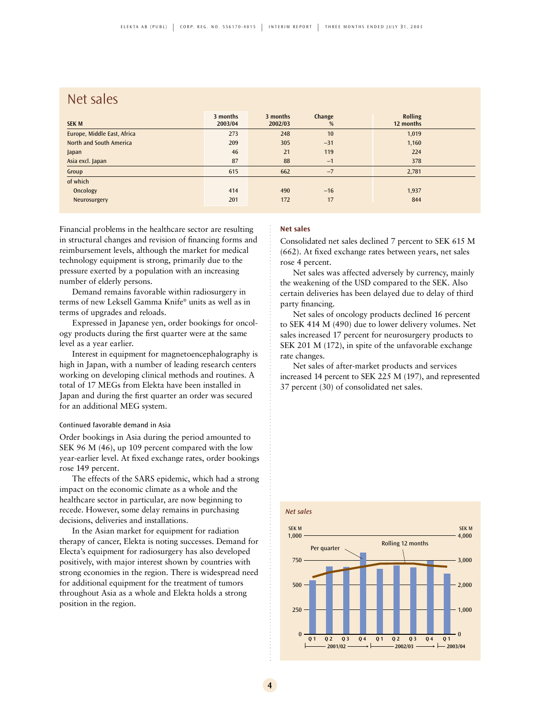## Net sales

| <b>SEK M</b>                | 3 months<br>2003/04 | 3 months<br>2002/03 | Change<br>% | <b>Rolling</b><br>12 months |
|-----------------------------|---------------------|---------------------|-------------|-----------------------------|
| Europe, Middle East, Africa | 273                 | 248                 | 10          | 1,019                       |
| North and South America     | 209                 | 305                 | $-31$       | 1,160                       |
| Japan                       | 46                  | 21                  | 119         | 224                         |
| Asia excl. Japan            | 87                  | 88                  | $-1$        | 378                         |
| Group                       | 615                 | 662                 | $-7$        | 2,781                       |
| of which                    |                     |                     |             |                             |
| Oncology                    | 414                 | 490                 | $-16$       | 1,937                       |
| Neurosurgery                | 201                 | 172                 | 17          | 844                         |

Financial problems in the healthcare sector are resulting in structural changes and revision of financing forms and reimbursement levels, although the market for medical technology equipment is strong, primarily due to the pressure exerted by a population with an increasing number of elderly persons.

Demand remains favorable within radiosurgery in terms of new Leksell Gamma Knife® units as well as in terms of upgrades and reloads.

Expressed in Japanese yen, order bookings for oncology products during the first quarter were at the same level as a year earlier.

Interest in equipment for magnetoencephalography is high in Japan, with a number of leading research centers working on developing clinical methods and routines. A total of 17 MEGs from Elekta have been installed in Japan and during the first quarter an order was secured for an additional MEG system.

#### Continued favorable demand in Asia

Order bookings in Asia during the period amounted to SEK 96 M (46), up 109 percent compared with the low year-earlier level. At fixed exchange rates, order bookings rose 149 percent.

The effects of the SARS epidemic, which had a strong impact on the economic climate as a whole and the healthcare sector in particular, are now beginning to recede. However, some delay remains in purchasing decisions, deliveries and installations.

In the Asian market for equipment for radiation therapy of cancer, Elekta is noting successes. Demand for Electa's equipment for radiosurgery has also developed positively, with major interest shown by countries with strong economies in the region. There is widespread need for additional equipment for the treatment of tumors throughout Asia as a whole and Elekta holds a strong position in the region.

#### **Net sales**

Consolidated net sales declined 7 percent to SEK 615 M (662). At fixed exchange rates between years, net sales rose 4 percent.

Net sales was affected adversely by currency, mainly the weakening of the USD compared to the SEK. Also certain deliveries has been delayed due to delay of third party financing.

Net sales of oncology products declined 16 percent to SEK 414 M (490) due to lower delivery volumes. Net sales increased 17 percent for neurosurgery products to SEK 201 M (172), in spite of the unfavorable exchange rate changes.

Net sales of after-market products and services increased 14 percent to SEK 225 M (197), and represented 37 percent (30) of consolidated net sales.

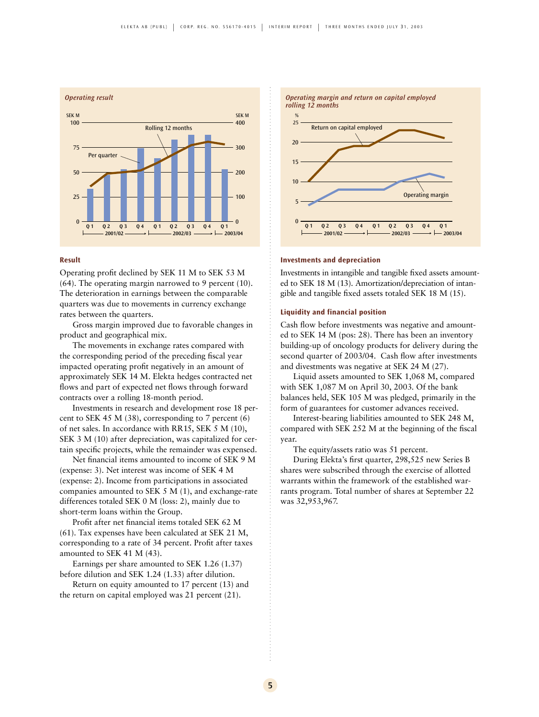

#### **Result**

Operating profit declined by SEK 11 M to SEK 53 M (64). The operating margin narrowed to 9 percent (10). The deterioration in earnings between the comparable quarters was due to movements in currency exchange rates between the quarters.

Gross margin improved due to favorable changes in product and geographical mix.

The movements in exchange rates compared with the corresponding period of the preceding fiscal year impacted operating profit negatively in an amount of approximately SEK 14 M. Elekta hedges contracted net flows and part of expected net flows through forward contracts over a rolling 18-month period.

Investments in research and development rose 18 percent to SEK 45 M (38), corresponding to 7 percent (6) of net sales. In accordance with RR15, SEK 5 M (10), SEK 3 M (10) after depreciation, was capitalized for certain specific projects, while the remainder was expensed.

Net financial items amounted to income of SEK 9 M (expense: 3). Net interest was income of SEK 4 M (expense: 2). Income from participations in associated companies amounted to SEK 5 M (1), and exchange-rate differences totaled SEK 0 M (loss: 2), mainly due to short-term loans within the Group.

Profit after net financial items totaled SEK 62 M (61). Tax expenses have been calculated at SEK 21 M, corresponding to a rate of 34 percent. Profit after taxes amounted to SEK 41 M (43).

Earnings per share amounted to SEK 1.26 (1.37) before dilution and SEK 1.24 (1.33) after dilution.

Return on equity amounted to 17 percent (13) and the return on capital employed was 21 percent (21).



#### **Investments and depreciation**

Investments in intangible and tangible fixed assets amounted to SEK 18 M (13). Amortization/depreciation of intangible and tangible fixed assets totaled SEK 18 M (15).

#### **Liquidity and financial position**

Cash flow before investments was negative and amounted to SEK 14 M (pos: 28). There has been an inventory building-up of oncology products for delivery during the second quarter of 2003/04. Cash flow after investments and divestments was negative at SEK 24 M (27).

Liquid assets amounted to SEK 1,068 M, compared with SEK 1,087 M on April 30, 2003. Of the bank balances held, SEK 105 M was pledged, primarily in the form of guarantees for customer advances received.

Interest-bearing liabilities amounted to SEK 248 M, compared with SEK 252 M at the beginning of the fiscal year.

The equity/assets ratio was 51 percent.

During Elekta's first quarter, 298,525 new Series B shares were subscribed through the exercise of allotted warrants within the framework of the established warrants program. Total number of shares at September 22 was 32,953,967.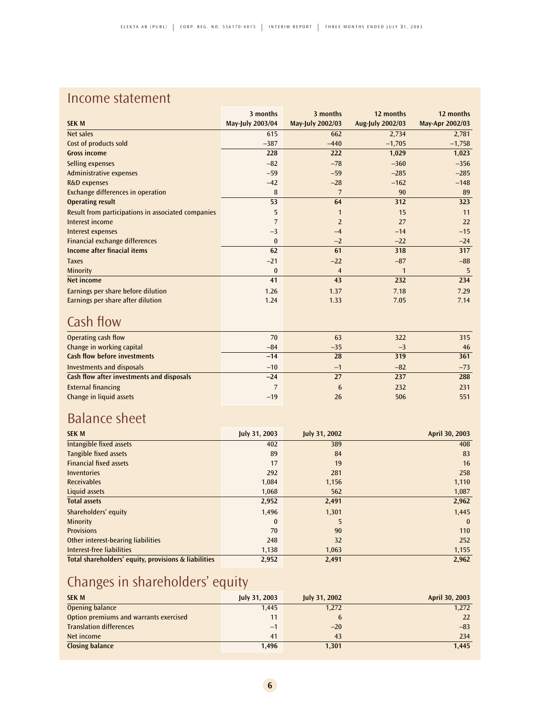## Income statement

|                                                    | 3 months         | 3 months         | 12 months               | 12 months       |
|----------------------------------------------------|------------------|------------------|-------------------------|-----------------|
| <b>SEK M</b>                                       | May-July 2003/04 | May-July 2002/03 | <b>Aug-July 2002/03</b> | May-Apr 2002/03 |
| Net sales                                          | 615              | 662              | 2,734                   | 2,781           |
| Cost of products sold                              | $-387$           | $-440$           | $-1,705$                | $-1,758$        |
| <b>Gross income</b>                                | 228              | 222              | 1,029                   | 1,023           |
| <b>Selling expenses</b>                            | $-82$            | $-78$            | $-360$                  | $-356$          |
| <b>Administrative expenses</b>                     | $-59$            | $-59$            | $-285$                  | $-285$          |
| R&D expenses                                       | $-42$            | $-28$            | $-162$                  | $-148$          |
| <b>Exchange differences in operation</b>           | 8                | $\overline{7}$   | 90                      | 89              |
| <b>Operating result</b>                            | 53               | 64               | 312                     | 323             |
| Result from participations in associated companies | 5                | $\mathbf{1}$     | 15                      | 11              |
| Interest income                                    | 7                | $\overline{2}$   | 27                      | 22              |
| Interest expenses                                  | $-3$             | $-4$             | $-14$                   | $-15$           |
| <b>Financial exchange differences</b>              | $\bf{0}$         | $-2$             | $-22$                   | $-24$           |
| <b>Income after finacial items</b>                 | 62               | 61               | 318                     | 317             |
| <b>Taxes</b>                                       | $-21$            | $-22$            | $-87$                   | $-88$           |
| Minority                                           | $\bf{0}$         | $\overline{4}$   | $\mathbf{1}$            | 5               |
| <b>Net income</b>                                  | 41               | 43               | 232                     | 234             |
| Earnings per share before dilution                 | 1.26             | 1.37             | 7.18                    | 7.29            |
| Earnings per share after dilution                  | 1.24             | 1.33             | 7.05                    | 7.14            |
|                                                    |                  |                  |                         |                 |
| Cash flow                                          |                  |                  |                         |                 |
| Operating cash flow                                | 70               | 63               | 322                     | 315             |
| Change in working capital                          | $-84$            | $-35$            | $-3$                    | 46              |
| <b>Cash flow before investments</b>                | $-14$            | 28               | 319                     | 361             |
| <b>Investments and disposals</b>                   | $-10$            | $-1$             | $-82$                   | $-73$           |
| <b>Cash flow after investments and disposals</b>   | $-24$            | 27               | 237                     | 288             |
| <b>External financing</b>                          | 7                | $6\phantom{.}6$  | 232                     | 231             |
| Change in liquid assets                            | $-19$            | 26               | 506                     | 551             |

## Balance sheet

| <b>SEK M</b>                                         | July 31, 2003 | July 31, 2002 | April 30, 2003 |
|------------------------------------------------------|---------------|---------------|----------------|
| Intangible fixed assets                              | 402           | 389           | 408            |
| Tangible fixed assets                                | 89            | 84            | 83             |
| <b>Financial fixed assets</b>                        | 17            | 19            | 16             |
| <b>Inventories</b>                                   | 292           | 281           | 258            |
| <b>Receivables</b>                                   | 1,084         | 1,156         | 1,110          |
| Liquid assets                                        | 1,068         | 562           | 1,087          |
| <b>Total assets</b>                                  | 2,952         | 2,491         | 2,962          |
| Shareholders' equity                                 | 1,496         | 1,301         | 1,445          |
| Minority                                             | $\bf{0}$      | 5             | $\mathbf{0}$   |
| <b>Provisions</b>                                    | 70            | 90            | 110            |
| Other interest-bearing liabilities                   | 248           | 32            | 252            |
| Interest-free liabilities                            | 1,138         | 1,063         | 1,155          |
| Total shareholders' equity, provisions & liabilities | 2,952         | 2,491         | 2,962          |

# Changes in shareholders' equity

| <b>SEK M</b>                           | July 31, 2003 | July 31, 2002 | April 30, 2003 |
|----------------------------------------|---------------|---------------|----------------|
| Opening balance                        | 1,445         | 1,272         | 1,272          |
| Option premiums and warrants exercised | 11            |               | 22             |
| <b>Translation differences</b>         | $-1$          | $-20$         | $-83$          |
| Net income                             | 41            | 43            | 234            |
| <b>Closing balance</b>                 | 1.496         | 1.301         | 1.445          |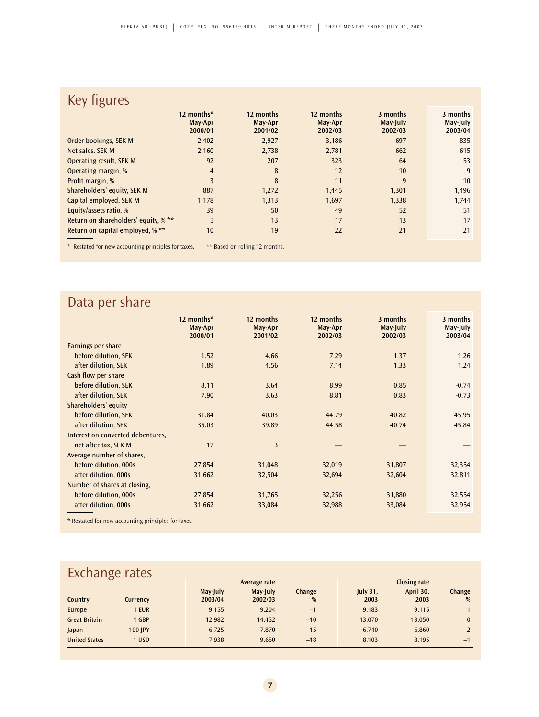## Key figures

|                                                     | 12 months*<br>May-Apr<br>2000/01 | 12 months<br>May-Apr<br>2001/02 | 12 months<br>May-Apr<br>2002/03 | 3 months<br>May-July<br>2002/03 | 3 months<br>May-July<br>2003/04 |
|-----------------------------------------------------|----------------------------------|---------------------------------|---------------------------------|---------------------------------|---------------------------------|
| Order bookings, SEK M                               | 2,402                            | 2,927                           | 3,186                           | 697                             | 835                             |
| Net sales, SEK M                                    | 2,160                            | 2,738                           | 2,781                           | 662                             | 615                             |
| Operating result, SEK M                             | 92                               | 207                             | 323                             | 64                              | 53                              |
| Operating margin, %                                 | $\overline{4}$                   | 8                               | 12                              | 10                              | 9                               |
| Profit margin, %                                    | 3                                | 8                               | 11                              | 9                               | 10                              |
| Shareholders' equity, SEK M                         | 887                              | 1,272                           | 1,445                           | 1,301                           | 1,496                           |
| Capital employed, SEK M                             | 1,178                            | 1,313                           | 1,697                           | 1,338                           | 1,744                           |
| Equity/assets ratio, %                              | 39                               | 50                              | 49                              | 52                              | 51                              |
| Return on shareholders' equity, % **                | 5                                | 13                              | 17                              | 13                              | 17                              |
| Return on capital employed, % **                    | 10                               | 19                              | 22                              | 21                              | 21                              |
| * Restated for new accounting principles for taxes. |                                  | ** Based on rolling 12 months.  |                                 |                                 |                                 |

# Data per share

|                                   | 12 months*<br>May-Apr<br>2000/01 | 12 months<br>May-Apr<br>2001/02 | 12 months<br>May-Apr<br>2002/03 | 3 months<br>May-July<br>2002/03 | 3 months<br>May-July<br>2003/04 |
|-----------------------------------|----------------------------------|---------------------------------|---------------------------------|---------------------------------|---------------------------------|
| Earnings per share                |                                  |                                 |                                 |                                 |                                 |
| before dilution, SEK              | 1.52                             | 4.66                            | 7.29                            | 1.37                            | 1.26                            |
| after dilution, SEK               | 1.89                             | 4.56                            | 7.14                            | 1.33                            | 1.24                            |
| Cash flow per share               |                                  |                                 |                                 |                                 |                                 |
| before dilution, SEK              | 8.11                             | 3.64                            | 8.99                            | 0.85                            | $-0.74$                         |
| after dilution, SEK               | 7.90                             | 3.63                            | 8.81                            | 0.83                            | $-0.73$                         |
| Shareholders' equity              |                                  |                                 |                                 |                                 |                                 |
| before dilution, SEK              | 31.84                            | 40.03                           | 44.79                           | 40.82                           | 45.95                           |
| after dilution, SEK               | 35.03                            | 39.89                           | 44.58                           | 40.74                           | 45.84                           |
| Interest on converted debentures, |                                  |                                 |                                 |                                 |                                 |
| net after tax, SEK M              | 17                               | 3                               |                                 |                                 |                                 |
| Average number of shares,         |                                  |                                 |                                 |                                 |                                 |
| before dilution, 000s             | 27,854                           | 31,048                          | 32,019                          | 31,807                          | 32,354                          |
| after dilution, 000s              | 31,662                           | 32,504                          | 32,694                          | 32,604                          | 32,811                          |
| Number of shares at closing,      |                                  |                                 |                                 |                                 |                                 |
| before dilution, 000s             | 27,854                           | 31,765                          | 32,256                          | 31,880                          | 32,554                          |
| after dilution, 000s              | 31,662                           | 33,084                          | 32,988                          | 33,084                          | 32,954                          |

\* Restated for new accounting principles for taxes.

## **Exchange rates**

| Average rate         |                |                     | <b>Closing rate</b> |             |                         |                   |             |
|----------------------|----------------|---------------------|---------------------|-------------|-------------------------|-------------------|-------------|
| Country              | Currency       | May-July<br>2003/04 | May-July<br>2002/03 | Change<br>% | <b>July 31,</b><br>2003 | April 30,<br>2003 | Change<br>% |
| Europe               | 1 EUR          | 9.155               | 9.204               | $-1$        | 9.183                   | 9.115             |             |
| <b>Great Britain</b> | 1 GBP          | 12.982              | 14.452              | $-10$       | 13.070                  | 13.050            |             |
| Japan                | <b>100 IPY</b> | 6.725               | 7.870               | $-15$       | 6.740                   | 6.860             | $-2$        |
| <b>United States</b> | 1 USD          | 7.938               | 9.650               | $-18$       | 8.103                   | 8.195             | $-1$        |